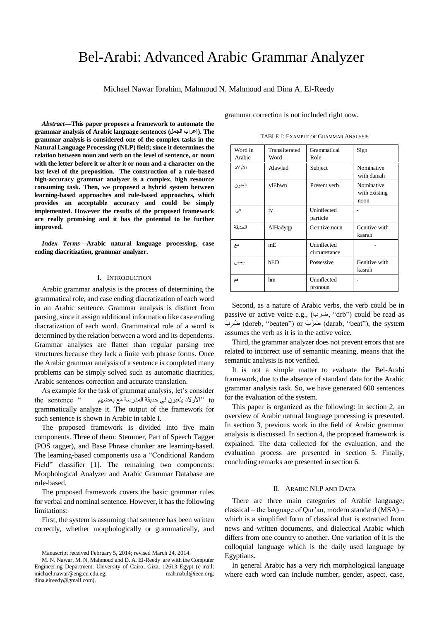# Bel-Arabi: Advanced Arabic Grammar Analyzer

Michael Nawar Ibrahim, Mahmoud N. Mahmoud and Dina A. El-Reedy

*Abstract***—This paper proposes a framework to automate the grammar analysis of Arabic language sentences (الجمل إعراب(. The grammar analysis is considered one of the complex tasks in the Natural Language Processing (NLP) field; since it determines the relation between noun and verb on the level of sentence, or noun with the letter before it or after it or noun and a character on the last level of the preposition. The construction of a rule-based high-accuracy grammar analyzer is a complex, high resource consuming task. Then, we proposed a hybrid system between learning-based approaches and rule-based approaches, which provides an acceptable accuracy and could be simply implemented. However the results of the proposed framework are really promising and it has the potential to be further improved.**

*Index Terms***—Arabic natural language processing, case ending diacritization, grammar analyzer.** 

## I. INTRODUCTION

Arabic grammar analysis is the process of determining the grammatical role, and case ending diacratization of each word in an Arabic sentence. Grammar analysis is distinct from parsing, since it assign additional information like case ending diacratization of each word. Grammatical role of a word is determined by the relation between a word and its dependents. Grammar analyses are flatter than regular parsing tree structures because they lack a finite verb phrase forms. Once the Arabic grammar analysis of a sentence is completed many problems can be simply solved such as automatic diacritics, Arabic sentences correction and accurate translation.

As example for the task of grammar analysis, let's consider to" الأولاد يلعبون في حديقة المدرسة مع بعضهم " " the sentence grammatically analyze it. The output of the framework for such sentence is shown in Arabic in table I.

The proposed framework is divided into five main components. Three of them: Stemmer, Part of Speech Tagger (POS tagger), and Base Phrase chunker are learning-based. The learning-based components use a "Conditional Random Field" classifier [1]. The remaining two components: Morphological Analyzer and Arabic Grammar Database are rule-based.

The proposed framework covers the basic grammar rules for verbal and nominal sentence. However, it has the following limitations:

First, the system is assuming that sentence has been written correctly, whether morphologically or grammatically, and grammar correction is not included right now.

TABLE I: EXAMPLE OF GRAMMAR ANALYSIS

| Word in<br>Arabic | Transliterated<br>Word | Grammatical<br>Role         | Sign                                |
|-------------------|------------------------|-----------------------------|-------------------------------------|
| الأو لاد          | Alawlad                | Subject                     | Nominative<br>with damah            |
| بلعبون            | ylEbwn                 | Present verb                | Nominative<br>with existing<br>noon |
| فى                | fy                     | Uninflected<br>particle     |                                     |
| الحديقة           | AlHadyqp               | Genitive noun               | Genitive with<br>kasrah             |
| مع                | mE                     | Uninflected<br>circumstance |                                     |
| بعض               | bED                    | Possessive                  | Genitive with<br>kasrah             |
| هم                | hm                     | Uninflected<br>pronoun      |                                     |

Second, as a nature of Arabic verbs, the verb could be in passive or active voice e.g., (ضزب," drb") could be read as ضُرِبَ) or ضَرَبَ (darab, "beat"), the system ضُرِبَ ِر assumes the verb as it is in the active voice.

Third, the grammar analyzer does not prevent errors that are related to incorrect use of semantic meaning, means that the semantic analysis is not verified.

It is not a simple matter to evaluate the Bel-Arabi framework, due to the absence of standard data for the Arabic grammar analysis task. So, we have generated 600 sentences for the evaluation of the system.

This paper is organized as the following: in section 2, an overview of Arabic natural language processing is presented. In section 3, previous work in the field of Arabic grammar analysis is discussed. In section 4, the proposed framework is explained. The data collected for the evaluation, and the evaluation process are presented in section 5. Finally, concluding remarks are presented in section 6.

# II. ARABIC NLP AND DATA

There are three main categories of Arabic language; classical – the language of Qur"an, modern standard (MSA) – which is a simplified form of classical that is extracted from news and written documents, and dialectical Arabic which differs from one country to another. One variation of it is the colloquial language which is the daily used language by Egyptians.

In general Arabic has a very rich morphological language where each word can include number, gender, aspect, case,

Manuscript received February 5, 2014; revised March 24, 2014.

M. N. Nawar, M. N. Mahmoud and D. A. El-Reedy are with the Computer Engineering Department, University of Cairo, Giza, 12613 Egypt (e-mail: michael.nawar@eng.cu.edu.eg; mah.nabil@ieee.org; dina.elreedy@gmail.com).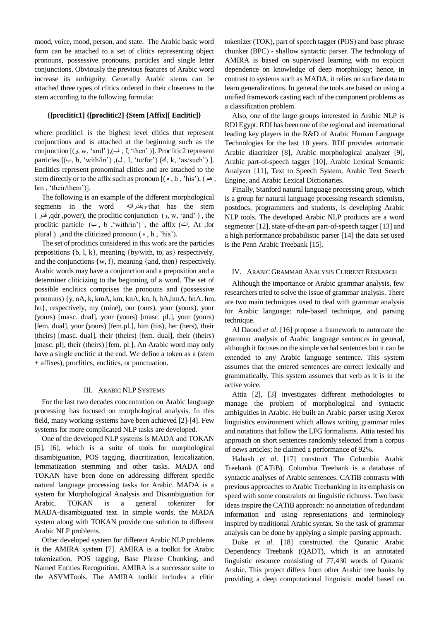mood, voice, mood, person, and state. The Arabic basic word form can be attached to a set of clitics representing object pronouns, possessive pronouns, particles and single letter conjunctions. Obviously the previous features of Arabic word increase its ambiguity. Generally Arabic stems can be attached three types of clitics ordered in their closeness to the stem according to the following formula:

### **{[proclitic1] {[proclitic2] {Stem [Affix][ Enclitic]}**

where proclitic1 is the highest level clitics that represent conjunctions and is attached at the beginning such as the conjunction  $[(\rho, w, 'and'), (\dot{\rho}, f, 'then')]$ . Proclitic2 represent particles  $[(\neg, b, 'with/in'), (\neg, l, 'to/for'), (\triangle, k, 'as/such')]$ . Enclitics represent pronominal clitics and are attached to the stem directly or to the affix such as pronoun  $[(\bullet, h, 'his'), (\bullet, \bullet)$ , hm, 'their/them')].

The following is an example of the different morphological segments in the word وبقدرانه that has the stem  $($  قدر ,qdr ,power), the proclitic conjunction  $($ , w, 'and'  $)$ , the proclitic particle  $(4, b, 'with/in')$ , the affix  $(4, b, 'on')$ plural ) ,and the cliticized pronoun  $(\,\cdot\,$ , h, 'his').

The set of proclitics considered in this work are the particles prepositions {b, l, k}, meaning {by/with, to, as} respectively, and the conjunctions {w, f}, meaning {and, then} respectively. Arabic words may have a conjunction and a preposition and a determiner cliticizing to the beginning of a word. The set of possible enclitics comprises the pronouns and (possessive pronouns) {y, nA, k, kmA, km, knA, kn, h, hA,hmA, hnA, hm, hn}, respectively, my (mine), our (ours), your (yours), your (yours) [masc. dual], your (yours) [masc. pl.], your (yours) [fem. dual], your (yours) [fem.pl.], him (his), her (hers), their (theirs) [masc. dual], their (theirs) [fem. dual], their (theirs) [masc. pl], their (theirs) [fem. pl.]. An Arabic word may only have a single enclitic at the end. We define a token as a (stem + affixes), proclitics, enclitics, or punctuation.

## III. ARABIC NLPSYSTEMS

For the last two decades concentration on Arabic language processing has focused on morphological analysis. In this field, many working systems have been achieved [2]-[4]. Few systems for more complicated NLP tasks are developed.

One of the developed NLP systems is MADA and TOKAN [5], [6], which is a suite of tools for morphological disambiguation, POS tagging, diacritization, lexicalization, lemmatization stemming and other tasks. MADA and TOKAN have been done on addressing different specific natural language processing tasks for Arabic. MADA is a system for Morphological Analysis and Disambiguation for Arabic. TOKAN is a general tokenizer for MADA-disambiguated text. In simple words, the MADA system along with TOKAN provide one solution to different Arabic NLP problems.

Other developed system for different Arabic NLP problems is the AMIRA system [7]. AMIRA is a toolkit for Arabic tokenization, POS tagging, Base Phrase Chunking, and Named Entities Recognition. AMIRA is a successor suite to the ASVMTools. The AMIRA toolkit includes a clitic tokenizer (TOK), part of speech tagger (POS) and base phrase chunker (BPC) - shallow syntactic parser. The technology of AMIRA is based on supervised learning with no explicit dependence on knowledge of deep morphology; hence, in contrast to systems such as MADA, it relies on surface data to learn generalizations. In general the tools are based on using a unified framework casting each of the component problems as a classification problem.

Also, one of the large groups interested in Arabic NLP is RDI Egypt. RDI has been one of the regional and international leading key players in the R&D of Arabic Human Language Technologies for the last 10 years. RDI provides automatic Arabic diacritizer [8], Arabic morphological analyzer [9], Arabic part-of-speech tagger [10], Arabic Lexical Semantic Analyzer [11], Text to Speech System, Arabic Text Search Engine, and Arabic Lexical Dictionaries.

Finally, Stanford natural language processing group, which is a group for natural language processing research scientists, postdocs, programmers and students, is developing Arabic NLP tools. The developed Arabic NLP products are a word segmenter [12], state-of-the-art [part-of-speech tagger](http://nlp.stanford.edu/software/tagger.shtml) [13] and [a high performance probabilistic parser](http://nlp.stanford.edu/software/lex-parser.shtml) [14] the data set used is the Penn Arabic Treebank [15].

## IV. ARABIC GRAMMAR ANALYSIS CURRENT RESEARCH

Although the importance or Arabic grammar analysis, few researchers tried to solve the issue of grammar analysis. There are two main techniques used to deal with grammar analysis for Arabic language: rule-based technique, and parsing technique.

Al Daoud *et al*. [16] propose a framework to automate the grammar analysis of Arabic language sentences in general, although it focuses on the simple verbal sentences but it can be extended to any Arabic language sentence. This system assumes that the entered sentences are correct lexically and grammatically. This system assumes that verb as it is in the active voice.

Attia [2], [3] investigates different methodologies to manage the problem of morphological and syntactic ambiguities in Arabic. He built an Arabic parser using Xerox linguistics environment which allows writing grammar rules and notations that follow the LFG formalisms. Attia tested his approach on short sentences randomly selected from a corpus of news articles; he claimed a performance of 92%.

Habash *et al*. [17] construct The Columbia Arabic Treebank (CATiB). Columbia Treebank is a database of syntactic analyses of Arabic sentences. CATiB contrasts with previous approaches to Arabic Treebanking in its emphasis on speed with some constraints on linguistic richness. Two basic ideas inspire the CATiB approach: no annotation of redundant information and using representations and terminology inspired by traditional Arabic syntax. So the task of grammar analysis can be done by applying a simple parsing approach.

Duke *et al*. [18] constructed the Quranic Arabic Dependency Treebank (QADT), which is an annotated linguistic resource consisting of 77,430 words of Quranic Arabic. This project differs from other Arabic tree banks by providing a deep computational linguistic model based on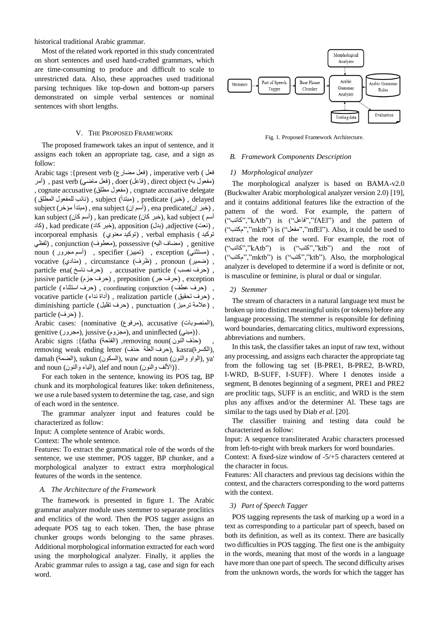historical traditional Arabic grammar.

Most of the related work reported in this study concentrated on short sentences and used hand-crafted grammars, which are time-consuming to produce and difficult to scale to unrestricted data. Also, these approaches used traditional parsing techniques like top-down and bottom-up parsers demonstrated on simple verbal sentences or nominal sentences with short lengths.

# V. THE PROPOSED FRAMEWORK

The proposed framework takes an input of sentence, and it assigns each token an appropriate tag, case, and a sign as follow:

Arabic tags :{present verb (فعل مضارع), imperative verb (فعل (مفعول به) direct object , (فاعل) , doer (فعل ماضي) past verb , (أمر , cognate accusative (مفعول مطلق), cognate accusative delegate delayed ,) خثز) predicate ,) يثردأ) subject ,) نائة نهًفؼٌل انًطهق )  $\mathbf{s}$ ز (مبتدأ مؤخر) , ena subject (أسم إن) , ena predicate(مبتدأ مؤخر) , kan subject (أسم كان), kan predicate (خبر كان), kad subject (أسم نعت) , kad predicate (خبر كاد), apposition (كاد) , kad predicate ( incorporeal emphasis (نوكيد معنوي) , verbal emphasis (نوكيد genitive ,) يضاف انيو) possessive ,)يؼطٌف) conjunction ,) نفظي noun (أسم مجرور) , specifier (نَمييز) , exception , , (ضًيز) pronoun ,) ظزف) circumstance ,) ينادي) vocative particle ena(حزف نصب) , accusative particle (حزف ناسخ), exception ,) حزف جز) preposition ,) حزف جزو) particle jussive , (حزف ػطف) conjunction coordinating ,) حزف اسرثناء ) particle vocative particle (أداة نداء) , realization particle (أداقة نداء) diminishing particle (حزف نقليل), punctuation (حزف التقابل) .{ (حزف) particle

Arabic cases: {nominative (مرفوع), accusative (المنصوبات), genitive (مجزوم), jussive (مجزوم), and uninflected (مبنى). Arabic signs :{fatha (المفتحة) ,removing noun( ) removing weak ending letter (حزف العلة حذف), kasra(الكسرة),

damah (العراو والنون), waw and noun (السكون), ya' and noun (الألف والنون), alef and noun (النياء والنون).

For each token in the sentence, knowing its POS tag, BP chunk and its morphological features like: token definiteness, we use a rule based system to determine the tag, case, and sign of each word in the sentence.

The grammar analyzer input and features could be characterized as follow:

Input: A complete sentence of Arabic words.

Context: The whole sentence.

Features: To extract the grammatical role of the words of the sentence, we use stemmer, POS tagger, BP chunker, and a morphological analyzer to extract extra morphological features of the words in the sentence.

#### *A. The Architecture of the Framework*

The framework is presented in figure 1. The Arabic grammar analyzer module uses stemmer to separate proclitics and enclitics of the word. Then the POS tagger assigns an adequate POS tag to each token. Then, the base phrase chunker groups words belonging to the same phrases. Additional morphological information extracted for each word using the morphological analyzer. Finally, it applies the Arabic grammar rules to assign a tag, case and sign for each word.



Fig. 1. Proposed Framework Architecture.

#### *B. Framework Components Description*

### *1) Morphological analyzer*

The morphological analyzer is based on BAMA-v2.0 (Buckwalter Arabic morphological analyzer version 2.0) [19], and it contains additional features like the extraction of the pattern of the word. For example, the pattern of ("كاذة","kAtb") is ("فاػم","fAEl") and the pattern of ("وكرة","mktb") is ("يفؼم","mfEl"). Also, it could be used to extract the root of the word. For example, the root of ("كاذة","kAtb") is ("كرة","ktb") and the root of ("وكرة","mktb") is ("كرة","ktb"). Also, the morphological analyzer is developed to determine if a word is definite or not, is masculine or feminine, is plural or dual or singular.

#### *2) Stemmer*

The stream of characters in a natural language text must be broken up into distinct meaningful units (or tokens) before any language processing. The stemmer is responsible for defining word boundaries, demarcating clitics, multiword expressions, abbreviations and numbers.

In this task, the classifier takes an input of raw text, without any processing, and assigns each character the appropriate tag from the following tag set {B-PRE1, B-PRE2, B-WRD, I-WRD, B-SUFF, I-SUFF}. Where I denotes inside a segment, B denotes beginning of a segment, PRE1 and PRE2 are proclitic tags, SUFF is an enclitic, and WRD is the stem plus any affixes and/or the determiner Al. These tags are similar to the tags used by Diab *et al*. [20].

The classifier training and testing data could be characterized as follow:

Input: A sequence transliterated Arabic characters processed from left-to-right with break markers for word boundaries.

Context: A fixed-size window of -5/+5 characters centered at the character in focus.

Features: All characters and previous tag decisions within the context, and the characters corresponding to the word patterns with the context.

## *3) Part of Speech Tagger*

POS tagging represents the task of marking up a word in a text as corresponding to a particular part of speech, based on both its definition, as well as its context. There are basically two difficulties in POS tagging. The first one is the ambiguity in the words, meaning that most of the words in a language have more than one part of speech. The second difficulty arises from the unknown words, the words for which the tagger has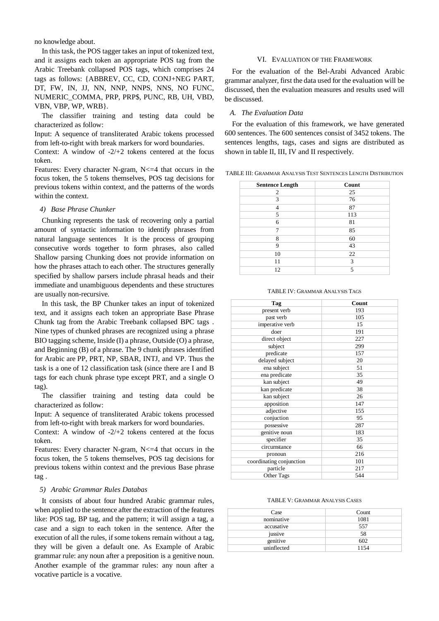no knowledge about.

In this task, the POS tagger takes an input of tokenized text, and it assigns each token an appropriate POS tag from the Arabic Treebank collapsed POS tags, which comprises 24 tags as follows: {ABBREV, CC, CD, CONJ+NEG PART, DT, FW, IN, JJ, NN, NNP, NNPS, NNS, NO FUNC, NUMERIC\_COMMA, PRP, PRP\$, PUNC, RB, UH, VBD, VBN, VBP, WP, WRB}.

The classifier training and testing data could be characterized as follow:

Input: A sequence of transliterated Arabic tokens processed from left-to-right with break markers for word boundaries.

Context: A window of  $-2/+2$  tokens centered at the focus token.

Features: Every character N-gram,  $N \leq 4$  that occurs in the focus token, the 5 tokens themselves, POS tag decisions for previous tokens within context, and the patterns of the words within the context.

### *4) Base Phrase Chunker*

Chunking represents the task of recovering only a partial amount of syntactic information to identify phrases from natural language sentences It is the process of grouping consecutive words together to form phrases, also called Shallow parsing Chunking does not provide information on how the phrases attach to each other. The structures generally specified by shallow parsers include phrasal heads and their immediate and unambiguous dependents and these structures are usually non-recursive.

In this task, the BP Chunker takes an input of tokenized text, and it assigns each token an appropriate Base Phrase Chunk tag from the Arabic Treebank collapsed BPC tags . Nine types of chunked phrases are recognized using a phrase BIO tagging scheme, Inside (I) a phrase, Outside (O) a phrase, and Beginning (B) of a phrase. The 9 chunk phrases identified for Arabic are PP, PRT, NP, SBAR, INTJ, and VP. Thus the task is a one of 12 classification task (since there are I and B tags for each chunk phrase type except PRT, and a single O tag).

The classifier training and testing data could be characterized as follow:

Input: A sequence of transliterated Arabic tokens processed from left-to-right with break markers for word boundaries.

Context: A window of -2/+2 tokens centered at the focus token.

Features: Every character N-gram,  $N \leq 4$  that occurs in the focus token, the 5 tokens themselves, POS tag decisions for previous tokens within context and the previous Base phrase tag .

## *5) Arabic Grammar Rules Databas*

It consists of about four hundred Arabic grammar rules, when applied to the sentence after the extraction of the features like: POS tag, BP tag, and the pattern; it will assign a tag, a case and a sign to each token in the sentence. After the execution of all the rules, if some tokens remain without a tag, they will be given a default one. As Example of Arabic grammar rule: any noun after a preposition is a genitive noun. Another example of the grammar rules: any noun after a vocative particle is a vocative.

#### VI. EVALUATION OF THE FRAMEWORK

For the evaluation of the Bel-Arabi Advanced Arabic grammar analyzer, first the data used for the evaluation will be discussed, then the evaluation measures and results used will be discussed.

# *A. The Evaluation Data*

For the evaluation of this framework, we have generated 600 sentences. The 600 sentences consist of 3452 tokens. The sentences lengths, tags, cases and signs are distributed as shown in table II, III, IV and II respectively.

TABLE III: GRAMMAR ANALYSIS TEST SENTENCES LENGTH DISTRIBUTION

| <b>Sentence Length</b> | Count |
|------------------------|-------|
| 2                      | 25    |
| 3                      | 76    |
| 4                      | 87    |
| 5                      | 113   |
| 6                      | 81    |
| 7                      | 85    |
| 8                      | 60    |
| 9                      | 43    |
| 10                     | 22    |
| 11                     | 3     |
| 12                     | 5     |

| Tag                      | Count |
|--------------------------|-------|
| present verb             | 193   |
| past verb                | 105   |
| imperative verb          | 15    |
| doer                     | 191   |
| direct object            | 227   |
| subject                  | 299   |
| predicate                | 157   |
| delayed subject          | 20    |
| ena subject              | 51    |
| ena predicate            | 35    |
| kan subject              | 49    |
| kan predicate            | 38    |
| kan subject              | 26    |
| apposition               | 147   |
| adjective                | 155   |
| conjuction               | 95    |
| possessive               | 287   |
| genitive noun            | 183   |
| specifier                | 35    |
| circumstance             | 66    |
| pronoun                  | 216   |
| coordinating conjunction | 101   |
| particle                 | 217   |
| Other Tags               | 544   |

#### TABLE IV: GRAMMAR ANALYSIS TAGS

TABLE V: GRAMMAR ANALYSIS CASES

| Case        | Count |
|-------------|-------|
| nominative  | 1081  |
| accusative  | 557   |
| jussive     | 58    |
| genitive    | 602   |
| uninflected | 1154  |
|             |       |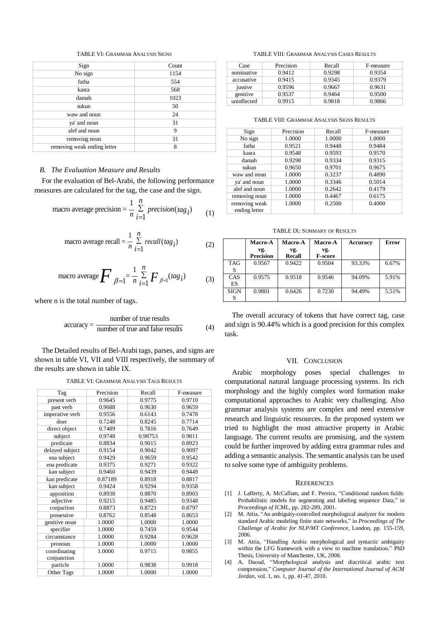#### TABLE VI: GRAMMAR ANALYSIS SIGNS

| Sign                        | Count |
|-----------------------------|-------|
| No sign                     | 1154  |
| fatha                       | 554   |
| kasra                       | 568   |
| damah                       | 1023  |
| sukun                       | 50    |
| waw and noun                | 24    |
| ya' and noun                | 31    |
| alef and noun               | 9     |
| removing noun               | 31    |
| removing weak ending letter | 8     |

#### *B. The Evaluation Measure and Results*

For the evaluation of Bel-Arabi, the following performance measures are calculated for the tag, the case and the sign.

macro average precision = 
$$
\frac{1}{n} \sum_{i=1}^{n} \text{precision}(tag_i)
$$
 (1)

macro average recall 
$$
=\frac{1}{n}\sum_{i=1}^{n} recall(tag_i)
$$
 (2)

macro average 
$$
\sum \beta = 1 - \frac{1}{n} \sum_{i=1}^{n} F_{\beta=1} (tag_i)
$$
 (3)

where n is the total number of tags.

$$
accuracy = \frac{number\ of\ true\ results}{number\ of\ true\ and\ false\ results} \tag{4}
$$

The Detailed results of Bel-Arabi tags, parses, and signs are shown in table VI, VII and VIII respectively, the summary of the results are shown in table IX.

TABLE VI: GRAMMAR ANALYSIS TAGS RESULTS

| Tag             | Precision | Recall  | F-measure |
|-----------------|-----------|---------|-----------|
| present verb    | 0.9645    | 0.9775  | 0.9710    |
| past verb       | 0.9688    | 0.9630  | 0.9659    |
| imperative verb | 0.9556    | 0.6143  | 0.7478    |
| doer            | 0.7248    | 0.8245  | 0.7714    |
| direct object   | 0.7489    | 0.7816  | 0.7649    |
| subject         | 0.9748    | 0.98753 | 0.9811    |
| predicate       | 0.8834    | 0.9015  | 0.8923    |
| delayed subject | 0.9154    | 0.9042  | 0.9097    |
| ena subject     | 0.9429    | 0.9659  | 0.9542    |
| ena predicate   | 0.9375    | 0.9271  | 0.9322    |
| kan subject     | 0.9460    | 0.9439  | 0.9449    |
| kan predicate   | 0.87189   | 0.8918  | 0.8817    |
| kan subject     | 0.9424    | 0.9294  | 0.9358    |
| apposition      | 0.8938    | 0.8870  | 0.8903    |
| adjective       | 0.9215    | 0.9485  | 0.9348    |
| conjuction      | 0.8873    | 0.8723  | 0.8797    |
| possessive      | 0.8762    | 0.8548  | 0.8653    |
| genitive noun   | 1.0000    | 1.0000  | 1.0000    |
| specifier       | 1.0000    | 0.7459  | 0.9544    |
| circumstance    | 1.0000    | 0.9284  | 0.9628    |
| pronoun         | 1.0000    | 1.0000  | 1.0000    |
| coordinating    | 1.0000    | 0.9715  | 0.9855    |
| conjunction     |           |         |           |
| particle        | 1.0000    | 0.9838  | 0.9918    |
| Other Tags      | 1.0000    | 1.0000  | 1.0000    |

TABLE VIII: GRAMMAR ANALYSIS CASES RESULTS

| Case        | Precision | Recall | F-measure |
|-------------|-----------|--------|-----------|
| nominative  | 0.9412    | 0.9298 | 0.9354    |
| accusative  | 0.9415    | 0.9345 | 0.9379    |
| jussive     | 0.9596    | 0.9667 | 0.9631    |
| genitive    | 0.9537    | 0.9464 | 0.9500    |
| uninflected | 0.9915    | 0.9818 | 0.9866    |

TABLE VIII: GRAMMAR ANALYSIS SIGNS RESULTS

| Sign          | Precision | Recall | F-measure |
|---------------|-----------|--------|-----------|
| No sign       | 1.0000    | 1.0000 | 1.0000    |
| fatha         | 0.9521    | 0.9448 | 0.9484    |
| kasra         | 0.9548    | 0.9593 | 0.9570    |
| damah         | 0.9298    | 0.9334 | 0.9315    |
| sukun         | 0.9650    | 0.9701 | 0.9675    |
| waw and noun  | 1.0000    | 0.3237 | 0.4890    |
| ya' and noun  | 1.0000    | 0.3346 | 0.5014    |
| alef and noun | 1.0000    | 0.2642 | 0.4179    |
| removing noun | 1.0000    | 0.4467 | 0.6175    |
| removing weak | 1.0000    | 0.2500 | 0.4000    |
| ending letter |           |        |           |

TABLE IX: SUMMARY OF RESULTS

|             | Macro-A          | <b>Macro-A</b> | Macro-A        | Accuracy | <b>Error</b> |
|-------------|------------------|----------------|----------------|----------|--------------|
|             | vg.              | vg.            | vg.            |          |              |
|             | <b>Precision</b> | Recall         | <b>F-score</b> |          |              |
| <b>TAG</b>  | 0.9567           | 0.9422         | 0.9504         | 93.33%   | 6.67%        |
| S           |                  |                |                |          |              |
| CAS         | 0.9575           | 0.9518         | 0.9546         | 94.09%   | 5.91%        |
| <b>ES</b>   |                  |                |                |          |              |
| <b>SIGN</b> | 0.9801           | 0.6426         | 0.7230         | 94.49%   | 5.51%        |
|             |                  |                |                |          |              |

The overall accuracy of tokens that have correct tag, case and sign is 90.44% which is a good precision for this complex task.

#### VII. CONCLUSION

Arabic morphology poses special challenges to computational natural language processing systems. Its rich morphology and the highly complex word formation make computational approaches to Arabic very challenging. Also grammar analysis systems are complex and need extensive research and linguistic resources. In the proposed system we tried to highlight the most attractive property in Arabic language. The current results are promising, and the system could be further improved by adding extra grammar rules and adding a semantic analysis. The semantic analysis can be used to solve some type of ambiguity problems.

#### **REFERENCES**

- [1] J. Lafferty, A. McCallum, and F. Pereira, "Conditional random fields: Probabilistic models for segmenting and labeling sequence Data," in *Proceedings of ICML*, pp. 282-289, 2001.
- [2] M. Attia, "An ambiguity-controlled morphological analyzer for modern standard Arabic modeling finite state networks," in *Proceedings of The Challenge of Arabic for NLP/MT Conference*, London, pp. 155-159, 2006.
- [3] M. Attia, "Handling Arabic morphological and syntactic ambiguity within the LFG framework with a view to machine translation," PhD Thesis, University of Manchester, UK, 2008.
- [4] A. Daoud, "Morphological analysis and diacritical arabic text compression," *Computer Journal of the International Journal of ACM Jordan*, vol. 1, no. 1, pp. 41-47, 2010.